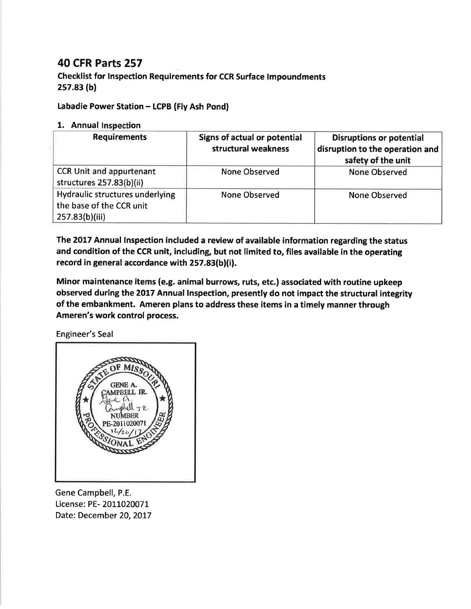## 40 cFR Parts 257

Checklist for Inspection Requirements for CCR Surface lmpoundments 2s7.83 (bl

Labadie Power Station - LCPB (Fly Ash Pond)

## 1. Annual Inspection

| <b>Requirements</b>                                                           | <b>Signs of actual or potential</b><br>structural weakness | <b>Disruptions or potential</b><br>disruption to the operation and<br>safety of the unit |
|-------------------------------------------------------------------------------|------------------------------------------------------------|------------------------------------------------------------------------------------------|
| <b>CCR Unit and appurtenant</b><br>structures 257.83(b)(ii)                   | None Observed                                              | <b>None Observed</b>                                                                     |
| Hydraulic structures underlying<br>the base of the CCR unit<br>257.83(b)(iii) | None Observed                                              | <b>None Observed</b>                                                                     |

The 2017 Annual Inspection included a review of available information regarding the status and condition of the CCR unit, including, but not limited to, files available in the operating record in general accordance with 257.83(b)(i).

Minor maintenance items (e.9. animal burrows, ruts, etc.) associated with routine upkeep observed during the 2017 Annual lnspection, presently do not impact the structural integrity of the embankment. Ameren plans to address these items in a timely manner through Ameren's work control process.

Engineer's Seal



Gene Campbell, P.E. License: PE- 2011020071 Date: December 20, 2017